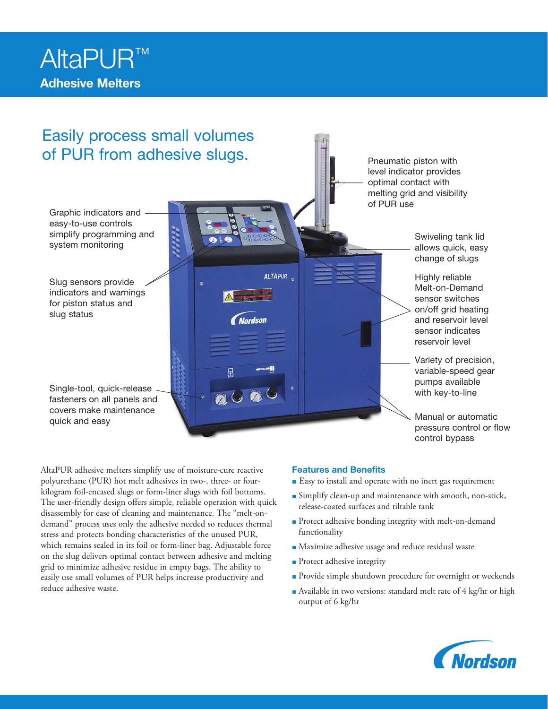

# Easily process small volumes of PUR from adhesive slugs.

Graphic indicators and easy-to-use controls simplify programming and system monitoring and starting the starting tank lide of the starting tank lide system monitoring and swiveling tank lide of the system monitoring system monitoring  $\frac{1}{2}$ 

Slug sensors provide indicators and warnings for piston status and slug status

Single-tool, quick-release fasteners on all panels and covers make maintenance quick and easy

Pneumatic piston with level indicator provides optimal contact with melting grid and visibility of PUR use

> allows quick, easy change of slugs

> Highly reliable Melt-on-Demand sensor switches on/off grid heating and reservoir level sensor indicates reservoir level

Variety of precision, variable-speed gear pumps available with key-to-line

Manual or automatic pressure control or flow control bypass

AltaPUR adhesive melters simplify use of moisture-cure reactive polyurethane (PUR) hot melt adhesives in two-, three- or fourkilogram foil-encased slugs or form-liner slugs with foil bottoms. The user-friendly design offers simple, reliable operation with quick disassembly for ease of cleaning and maintenance. The "melt-ondemand" process uses only the adhesive needed so reduces thermal stress and protects bonding characteristics of the unused PUR, which remains sealed in its foil or form-liner bag. Adjustable force on the slug delivers optimal contact between adhesive and melting grid to minimize adhesive residue in empty bags. The ability to easily use small volumes of PUR helps increase productivity and reduce adhesive waste.

## Features and Benefits

ALTAPUR<sub>o</sub>

*Nordson* 

2000

- Easy to install and operate with no inert gas requirement
- Simplify clean-up and maintenance with smooth, non-stick, release-coated surfaces and tiltable tank
- Protect adhesive bonding integrity with melt-on-demand functionality
- Maximize adhesive usage and reduce residual waste
- Protect adhesive integrity
- Provide simple shutdown procedure for overnight or weekends
- Available in two versions: standard melt rate of 4 kg/hr or high output of 6 kg/hr